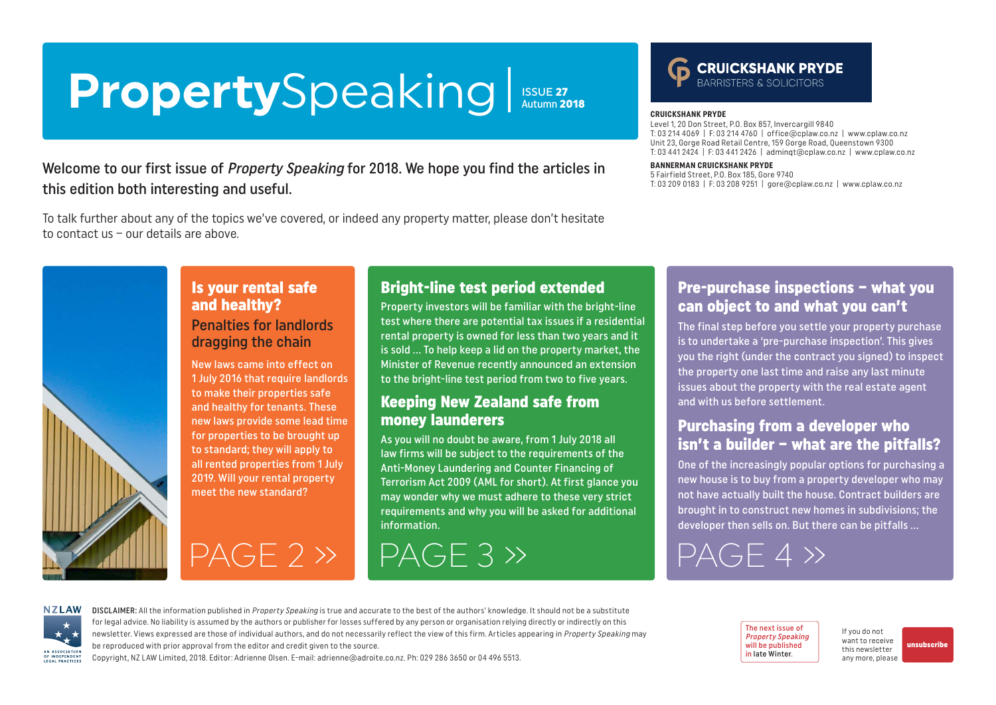### <span id="page-0-0"></span>**Property**Speaking **ISSUE 27**<br>Autumn 2018

### Welcome to our first issue of Property Speaking for 2018. We hope you find the articles in this edition both interesting and useful.

To talk further about any of the topics we've covered, or indeed any property matter, please don't hesitate to contact us – our details are above.

# **CRUICKSHANK PRYDE**

#### **CRUICKSHANK PRYDE**

Level 1, 20 Don Street, P.O. Box 857, Invercargill 9840 T: 03 214 4069 | F: 03 214 4760 | [office@cplaw.co.nz](mailto:office%40cplaw.co.nz?subject=) | www.cplaw.co.nz Unit 23, Gorge Road Retail Centre, 159 Gorge Road, Queenstown 9300 T: 03 441 2424 | F: 03 441 2426 | adminqt@cplaw.co.nz | www.cplaw.co.nz

#### **BANNERMAN CRUICKSHANK PRYDE**

5 Fairfield Street, P.O. Box 185, Gore 9740 T: 03 209 0183 | F: 03 208 9251 | gore@cplaw.co.nz | www.cplaw.co.nz



### Is your rental safe and healthy?

#### Penalties for landlords dragging the chain

New laws came into effect on 1 July 2016 that require landlords to make their properties safe and healthy for tenants. These new laws provide some lead time for properties to be brought up to standard; they will apply to all rented properties from 1 July 2019. Will your rental property meet the new standard?

### Bright-line test period extended

Property investors will be familiar with the bright-line test where there are potential tax issues if a residential rental property is owned for less than two years and it is sold … To help keep a lid on the property market, the Minister of Revenue recently announced an extension to the bright-line test period from two to five years.

### Keeping New Zealand safe from money launderers

As you will no doubt be aware, from 1 July 2018 all law firms will be subject to the requirements of the Anti-Money Laundering and Counter Financing of Terrorism Act 2009 (AML for short). At first glance you may wonder why we must adhere to these very strict requirements and why you will be asked for additional information.

# [PAGE 2 »](#page-1-0) [PAGE 3 »](#page-2-0) [PAGE 4 »](#page-3-0)

### Pre-purchase inspections – what you can object to and what you can't

The final step before you settle your property purchase is to undertake a 'pre-purchase inspection'. This gives you the right (under the contract you signed) to inspect the property one last time and raise any last minute issues about the property with the real estate agent and with us before settlement.

### Purchasing from a developer who isn't a builder – what are the pitfalls?

One of the increasingly popular options for purchasing a new house is to buy from a property developer who may not have actually built the house. Contract builders are brought in to construct new homes in subdivisions; the developer then sells on. But there can be pitfalls …

**NZLAW** AN ASSOCIATION OF INDEPENDENT LEGAL PRACTICE

DISCLAIMER: All the information published in Property Speaking is true and accurate to the best of the authors' knowledge. It should not be a substitute for legal advice. No liability is assumed by the authors or publisher for losses suffered by any person or organisation relying directly or indirectly on this newsletter. Views expressed are those of individual authors, and do not necessarily reflect the view of this firm. Articles appearing in Property Speaking may be reproduced with prior approval from the editor and credit given to the source.

Copyright, NZ LAW Limited, 2018. Editor: Adrienne Olsen. [E-mail: adrienne@adroite.co.nz](mailto:adrienne@adroite.co.nz). Ph: 029 286 3650 or 04 496 5513.

The next issue of Property Speaking will be published in late Winter.

If you do not want to receive this newsletter any more, please

[unsubscribe](mailto:adrienne%40adroite.co.nz?subject=Property%20Speaking%20-%20unsubscribe%20me%20please)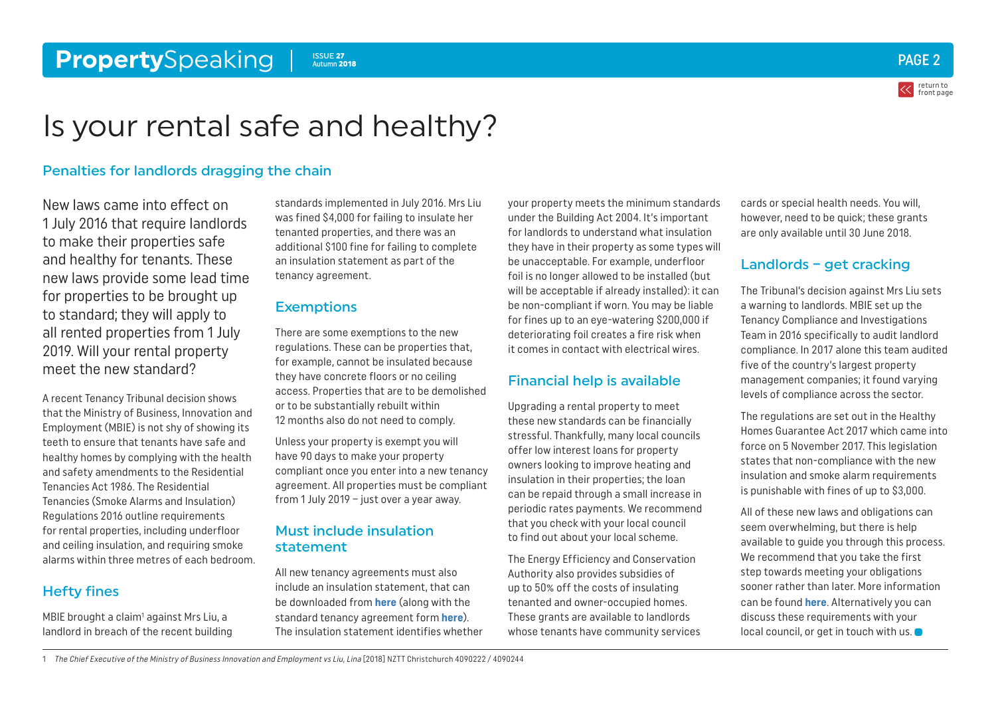#### <span id="page-1-0"></span>**Property**Speaking PAGE 2 ISSUE 27 Autumn 2018



return to [front page](#page-0-0)

## Is your rental safe and healthy?

#### Penalties for landlords dragging the chain

New laws came into effect on 1 July 2016 that require landlords to make their properties safe and healthy for tenants. These new laws provide some lead time for properties to be brought up to standard; they will apply to all rented properties from 1 July 2019. Will your rental property meet the new standard?

A recent Tenancy Tribunal decision shows that the Ministry of Business, Innovation and Employment (MBIE) is not shy of showing its teeth to ensure that tenants have safe and healthy homes by complying with the health and safety amendments to the Residential Tenancies Act 1986. The Residential Tenancies (Smoke Alarms and Insulation) Regulations 2016 outline requirements for rental properties, including underfloor and ceiling insulation, and requiring smoke alarms within three metres of each bedroom.

### Hefty fines

MBIE brought a claim<sup>1</sup> against Mrs Liu, a landlord in breach of the recent building standards implemented in July 2016. Mrs Liu was fined \$4,000 for failing to insulate her tenanted properties, and there was an additional \$100 fine for failing to complete an insulation statement as part of the tenancy agreement.

#### **Exemptions**

There are some exemptions to the new regulations. These can be properties that, for example, cannot be insulated because they have concrete floors or no ceiling access. Properties that are to be demolished or to be substantially rebuilt within 12 months also do not need to comply.

Unless your property is exempt you will have 90 days to make your property compliant once you enter into a new tenancy agreement. All properties must be compliant from 1 July 2019 – just over a year away.

#### Must include insulation statement

All new tenancy agreements must also include an insulation statement, that can be downloaded from **[here](https://www.tenancy.govt.nz/maintenance-and-inspections/insulation/how-to-write-an-insulation-statement-for-a-tenancy-agreement/)** (along with the standard tenancy agreement form **[here](https://www.tenancy.govt.nz/assets/Forms-templates/Residential-tenancy-agreement.pdf)**). The insulation statement identifies whether your property meets the minimum standards under the Building Act 2004. It's important for landlords to understand what insulation they have in their property as some types will be unacceptable. For example, underfloor foil is no longer allowed to be installed (but will be acceptable if already installed): it can be non-compliant if worn. You may be liable for fines up to an eye-watering \$200,000 if deteriorating foil creates a fire risk when it comes in contact with electrical wires.

#### Financial help is available

Upgrading a rental property to meet these new standards can be financially stressful. Thankfully, many local councils offer low interest loans for property owners looking to improve heating and insulation in their properties; the loan can be repaid through a small increase in periodic rates payments. We recommend that you check with your local council to find out about your local scheme.

The Energy Efficiency and Conservation Authority also provides subsidies of up to 50% off the costs of insulating tenanted and owner-occupied homes. These grants are available to landlords whose tenants have community services cards or special health needs. You will, however, need to be quick; these grants are only available until 30 June 2018.

#### Landlords – get cracking

The Tribunal's decision against Mrs Liu sets a warning to landlords. MBIE set up the Tenancy Compliance and Investigations Team in 2016 specifically to audit landlord compliance. In 2017 alone this team audited five of the country's largest property management companies; it found varying levels of compliance across the sector.

The regulations are set out in the Healthy Homes Guarantee Act 2017 which came into force on 5 November 2017. This legislation states that non-compliance with the new insulation and smoke alarm requirements is punishable with fines of up to \$3,000.

All of these new laws and obligations can seem overwhelming, but there is help available to guide you through this process. We recommend that you take the first step towards meeting your obligations sooner rather than later. More information can be found **[here](https://www.tenancy.govt.nz/)**. Alternatively you can discuss these requirements with your local council, or get in touch with us.  $\bullet$ 

1 The Chief Executive of the Ministry of Business Innovation and Employment vs Liu, Lina [2018] NZTT Christchurch 4090222 / 4090244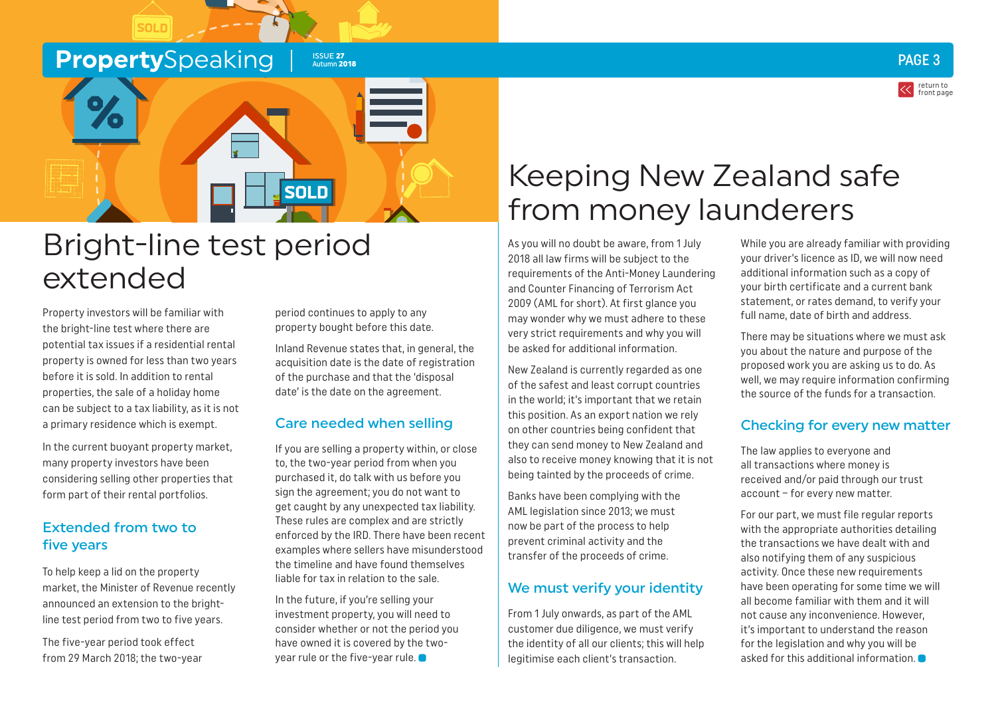### <span id="page-2-0"></span>**Property**Speaking Insuran

**SOLD** 



# Bright-line test period extended

Property investors will be familiar with the bright-line test where there are potential tax issues if a residential rental property is owned for less than two years before it is sold. In addition to rental properties, the sale of a holiday home can be subject to a tax liability, as it is not a primary residence which is exempt.

In the current buoyant property market, many property investors have been considering selling other properties that form part of their rental portfolios.

#### Extended from two to five years

To help keep a lid on the property market, the Minister of Revenue recently announced an extension to the brightline test period from two to five years.

The five-year period took effect from 29 March 2018; the two-year

period continues to apply to any property bought before this date.

Autumn 2018

Inland Revenue states that, in general, the acquisition date is the date of registration of the purchase and that the 'disposal date' is the date on the agreement.

### Care needed when selling

If you are selling a property within, or close to, the two-year period from when you purchased it, do talk with us before you sign the agreement; you do not want to get caught by any unexpected tax liability. These rules are complex and are strictly enforced by the IRD. There have been recent examples where sellers have misunderstood the timeline and have found themselves liable for tax in relation to the sale.

In the future, if you're selling your investment property, you will need to consider whether or not the period you have owned it is covered by the twoyear rule or the five-year rule.

# Keeping New Zealand safe from money launderers

As you will no doubt be aware, from 1 July 2018 all law firms will be subject to the requirements of the Anti-Money Laundering and Counter Financing of Terrorism Act 2009 (AML for short). At first glance you may wonder why we must adhere to these very strict requirements and why you will be asked for additional information.

New Zealand is currently regarded as one of the safest and least corrupt countries in the world; it's important that we retain this position. As an export nation we rely on other countries being confident that they can send money to New Zealand and also to receive money knowing that it is not being tainted by the proceeds of crime.

Banks have been complying with the AML legislation since 2013; we must now be part of the process to help prevent criminal activity and the transfer of the proceeds of crime.

#### We must verify your identity

From 1 July onwards, as part of the AML customer due diligence, we must verify the identity of all our clients; this will help legitimise each client's transaction.

While you are already familiar with providing your driver's licence as ID, we will now need additional information such as a copy of your birth certificate and a current bank statement, or rates demand, to verify your full name, date of birth and address.

There may be situations where we must ask you about the nature and purpose of the proposed work you are asking us to do. As well, we may require information confirming the source of the funds for a transaction.

#### Checking for every new matter

The law applies to everyone and all transactions where money is received and/or paid through our trust account – for every new matter.

For our part, we must file regular reports with the appropriate authorities detailing the transactions we have dealt with and also notifying them of any suspicious activity. Once these new requirements have been operating for some time we will all become familiar with them and it will not cause any inconvenience. However, it's important to understand the reason for the legislation and why you will be asked for this additional information.

PAGE 3

return to [front page](#page-0-0)